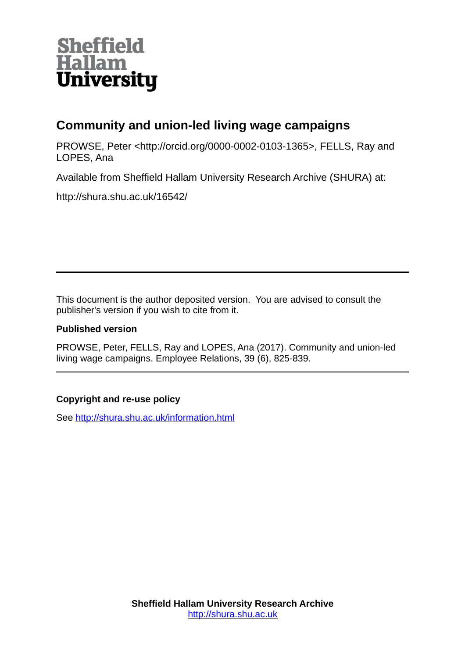

# **Community and union-led living wage campaigns**

PROWSE, Peter <http://orcid.org/0000-0002-0103-1365>, FELLS, Ray and LOPES, Ana

Available from Sheffield Hallam University Research Archive (SHURA) at:

http://shura.shu.ac.uk/16542/

This document is the author deposited version. You are advised to consult the publisher's version if you wish to cite from it.

### **Published version**

PROWSE, Peter, FELLS, Ray and LOPES, Ana (2017). Community and union-led living wage campaigns. Employee Relations, 39 (6), 825-839.

### **Copyright and re-use policy**

See<http://shura.shu.ac.uk/information.html>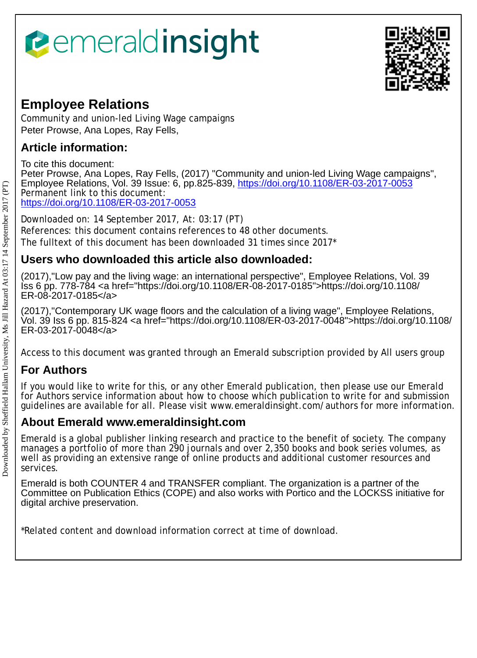



# **Employee Relations**

Community and union-led Living Wage campaigns Peter Prowse, Ana Lopes, Ray Fells,

### **Article information:**

To cite this document:

Peter Prowse, Ana Lopes, Ray Fells, (2017) "Community and union-led Living Wage campaigns", Employee Relations, Vol. 39 Issue: 6, pp.825-839, <https://doi.org/10.1108/ER-03-2017-0053> Permanent link to this document: <https://doi.org/10.1108/ER-03-2017-0053>

Downloaded on: 14 September 2017, At: 03:17 (PT) References: this document contains references to 48 other documents. The fulltext of this document has been downloaded 31 times since 2017\*

## **Users who downloaded this article also downloaded:**

(2017),"Low pay and the living wage: an international perspective", Employee Relations, Vol. 39 Iss 6 pp. 778-784 <a href="https://doi.org/10.1108/ER-08-2017-0185">https://doi.org/10.1108/ ER-08-2017-0185</a>

(2017),"Contemporary UK wage floors and the calculation of a living wage", Employee Relations, Vol. 39 Iss 6 pp. 815-824 <a href="https://doi.org/10.1108/ER-03-2017-0048">https://doi.org/10.1108/ ER-03-2017-0048</a>

Access to this document was granted through an Emerald subscription provided by All users group

# **For Authors**

If you would like to write for this, or any other Emerald publication, then please use our Emerald for Authors service information about how to choose which publication to write for and submission guidelines are available for all. Please visit www.emeraldinsight.com/authors for more information.

### **About Emerald www.emeraldinsight.com**

Emerald is a global publisher linking research and practice to the benefit of society. The company manages a portfolio of more than 290 journals and over 2,350 books and book series volumes, as well as providing an extensive range of online products and additional customer resources and services.

Emerald is both COUNTER 4 and TRANSFER compliant. The organization is a partner of the Committee on Publication Ethics (COPE) and also works with Portico and the LOCKSS initiative for digital archive preservation.

\*Related content and download information correct at time of download.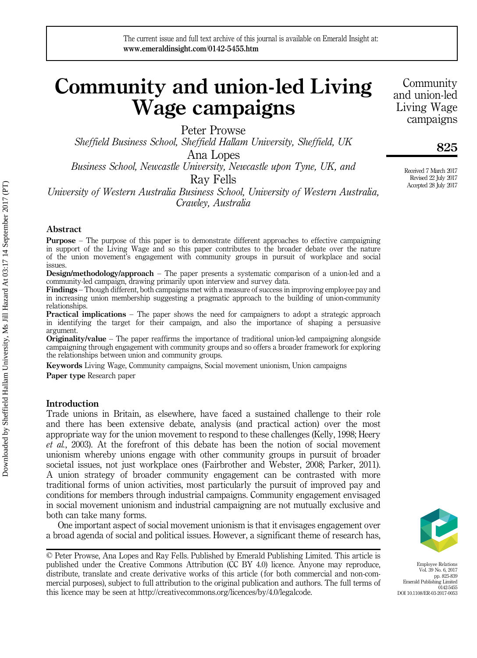# Community and union-led Living Wage campaigns

Peter Prowse

Sheffield Business School, Sheffield Hallam University, Sheffield, UK Ana Lopes

Business School, Newcastle University, Newcastle upon Tyne, UK, and Ray Fells

University of Western Australia Business School, University of Western Australia, Crawley, Australia

#### Abstract

**Purpose** – The purpose of this paper is to demonstrate different approaches to effective campaigning in support of the Living Wage and so this paper contributes to the broader debate over the nature of the union movement's engagement with community groups in pursuit of workplace and social issues.

Design/methodology/approach – The paper presents a systematic comparison of a union-led and a community-led campaign, drawing primarily upon interview and survey data.

Findings – Though different, both campaigns met with a measure of success in improving employee pay and in increasing union membership suggesting a pragmatic approach to the building of union-community relationships.

**Practical implications** – The paper shows the need for campaigners to adopt a strategic approach in identifying the target for their campaign, and also the importance of shaping a persuasive argument.

**Originality/value** – The paper reaffirms the importance of traditional union-led campaigning alongside campaigning through engagement with community groups and so offers a broader framework for exploring the relationships between union and community groups.

Keywords Living Wage, Community campaigns, Social movement unionism, Union campaigns Paper type Research paper

#### Introduction

Trade unions in Britain, as elsewhere, have faced a sustained challenge to their role and there has been extensive debate, analysis (and practical action) over the most appropriate way for the union movement to respond to these challenges (Kelly, 1998; Heery et al., 2003). At the forefront of this debate has been the notion of social movement unionism whereby unions engage with other community groups in pursuit of broader societal issues, not just workplace ones (Fairbrother and Webster, 2008; Parker, 2011). A union strategy of broader community engagement can be contrasted with more traditional forms of union activities, most particularly the pursuit of improved pay and conditions for members through industrial campaigns. Community engagement envisaged in social movement unionism and industrial campaigning are not mutually exclusive and both can take many forms.

One important aspect of social movement unionism is that it envisages engagement over a broad agenda of social and political issues. However, a significant theme of research has,

<sup>©</sup> Peter Prowse, Ana Lopes and Ray Fells. Published by Emerald Publishing Limited. This article is published under the Creative Commons Attribution (CC BY 4.0) licence. Anyone may reproduce, distribute, translate and create derivative works of this article ( for both commercial and non-commercial purposes), subject to full attribution to the original publication and authors. The full terms of this licence may be seen at<http://creativecommons.org/licences/by/4.0/legalcode>.



Employee Relations Vol. 39 No. 6, 2017 pp. 825-839 Emerald Publishing Limited 0142-5455 DOI 10.1108/ER-03-2017-0053

825 Living Wage campaigns

**Community** and union-led

> Received 7 March 2017 Revised 22 July 2017 Accepted 28 July 2017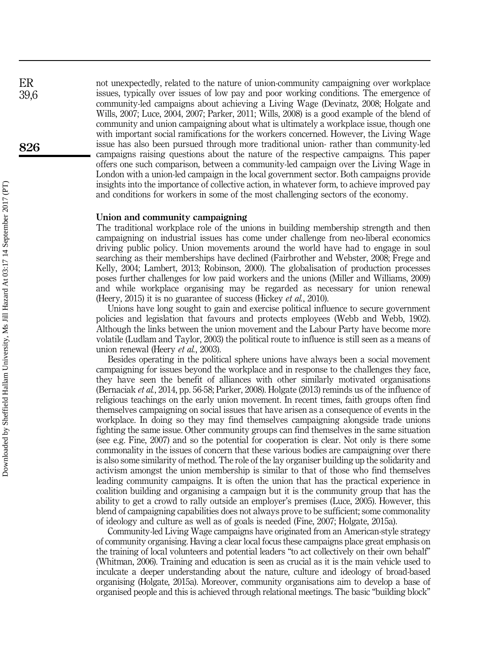not unexpectedly, related to the nature of union-community campaigning over workplace issues, typically over issues of low pay and poor working conditions. The emergence of community-led campaigns about achieving a Living Wage (Devinatz, 2008; Holgate and Wills, 2007; Luce, 2004, 2007; Parker, 2011; Wills, 2008) is a good example of the blend of community and union campaigning about what is ultimately a workplace issue, though one with important social ramifications for the workers concerned. However, the Living Wage issue has also been pursued through more traditional union- rather than community-led campaigns raising questions about the nature of the respective campaigns. This paper offers one such comparison, between a community-led campaign over the Living Wage in London with a union-led campaign in the local government sector. Both campaigns provide insights into the importance of collective action, in whatever form, to achieve improved pay and conditions for workers in some of the most challenging sectors of the economy.

#### Union and community campaigning

The traditional workplace role of the unions in building membership strength and then campaigning on industrial issues has come under challenge from neo-liberal economics driving public policy. Union movements around the world have had to engage in soul searching as their memberships have declined (Fairbrother and Webster, 2008; Frege and Kelly, 2004; Lambert, 2013; Robinson, 2000). The globalisation of production processes poses further challenges for low paid workers and the unions (Miller and Williams, 2009) and while workplace organising may be regarded as necessary for union renewal (Heery, 2015) it is no guarantee of success (Hickey *et al.*, 2010).

Unions have long sought to gain and exercise political influence to secure government policies and legislation that favours and protects employees (Webb and Webb, 1902). Although the links between the union movement and the Labour Party have become more volatile (Ludlam and Taylor, 2003) the political route to influence is still seen as a means of union renewal (Heery et al., 2003).

Besides operating in the political sphere unions have always been a social movement campaigning for issues beyond the workplace and in response to the challenges they face, they have seen the benefit of alliances with other similarly motivated organisations (Bernaciak et al., 2014, pp. 56-58; Parker, 2008). Holgate (2013) reminds us of the influence of religious teachings on the early union movement. In recent times, faith groups often find themselves campaigning on social issues that have arisen as a consequence of events in the workplace. In doing so they may find themselves campaigning alongside trade unions fighting the same issue. Other community groups can find themselves in the same situation (see e.g. Fine, 2007) and so the potential for cooperation is clear. Not only is there some commonality in the issues of concern that these various bodies are campaigning over there is also some similarity of method. The role of the lay organiser building up the solidarity and activism amongst the union membership is similar to that of those who find themselves leading community campaigns. It is often the union that has the practical experience in coalition building and organising a campaign but it is the community group that has the ability to get a crowd to rally outside an employer's premises (Luce, 2005). However, this blend of campaigning capabilities does not always prove to be sufficient; some commonality of ideology and culture as well as of goals is needed (Fine, 2007; Holgate, 2015a).

Community-led Living Wage campaigns have originated from an American-style strategy of community organising. Having a clear local focus these campaigns place great emphasis on the training of local volunteers and potential leaders "to act collectively on their own behalf" (Whitman, 2006). Training and education is seen as crucial as it is the main vehicle used to inculcate a deeper understanding about the nature, culture and ideology of broad-based organising (Holgate, 2015a). Moreover, community organisations aim to develop a base of organised people and this is achieved through relational meetings. The basic "building block"

826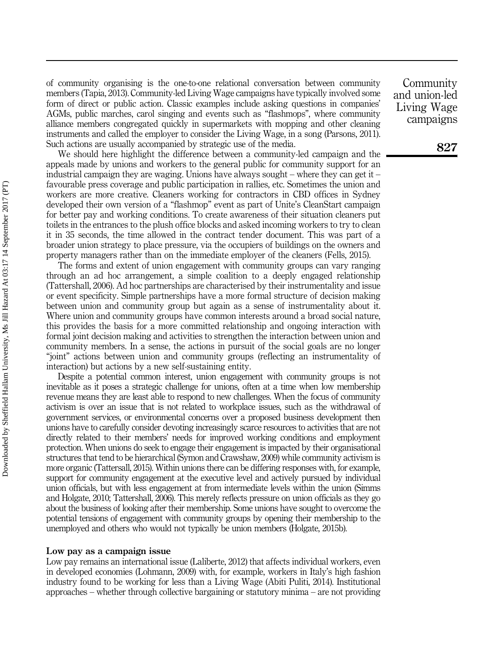of community organising is the one-to-one relational conversation between community members (Tapia, 2013). Community-led Living Wage campaigns have typically involved some form of direct or public action. Classic examples include asking questions in companies' AGMs, public marches, carol singing and events such as "flashmops", where community alliance members congregated quickly in supermarkets with mopping and other cleaning instruments and called the employer to consider the Living Wage, in a song (Parsons, 2011). Such actions are usually accompanied by strategic use of the media.

We should here highlight the difference between a community-led campaign and the appeals made by unions and workers to the general public for community support for an industrial campaign they are waging. Unions have always sought – where they can get it – favourable press coverage and public participation in rallies, etc. Sometimes the union and workers are more creative. Cleaners working for contractors in CBD offices in Sydney developed their own version of a "flashmop" event as part of Unite's CleanStart campaign for better pay and working conditions. To create awareness of their situation cleaners put toilets in the entrances to the plush office blocks and asked incoming workers to try to clean it in 35 seconds, the time allowed in the contract tender document. This was part of a broader union strategy to place pressure, via the occupiers of buildings on the owners and property managers rather than on the immediate employer of the cleaners (Fells, 2015).

The forms and extent of union engagement with community groups can vary ranging through an ad hoc arrangement, a simple coalition to a deeply engaged relationship (Tattershall, 2006). Ad hoc partnerships are characterised by their instrumentality and issue or event specificity. Simple partnerships have a more formal structure of decision making between union and community group but again as a sense of instrumentality about it. Where union and community groups have common interests around a broad social nature, this provides the basis for a more committed relationship and ongoing interaction with formal joint decision making and activities to strengthen the interaction between union and community members. In a sense, the actions in pursuit of the social goals are no longer "joint" actions between union and community groups (reflecting an instrumentality of interaction) but actions by a new self-sustaining entity.

Despite a potential common interest, union engagement with community groups is not inevitable as it poses a strategic challenge for unions, often at a time when low membership revenue means they are least able to respond to new challenges. When the focus of community activism is over an issue that is not related to workplace issues, such as the withdrawal of government services, or environmental concerns over a proposed business development then unions have to carefully consider devoting increasingly scarce resources to activities that are not directly related to their members' needs for improved working conditions and employment protection. When unions do seek to engage their engagement is impacted by their organisational structures that tend to be hierarchical (Symon and Crawshaw, 2009) while community activism is more organic (Tattersall, 2015). Within unions there can be differing responses with, for example, support for community engagement at the executive level and actively pursued by individual union officials, but with less engagement at from intermediate levels within the union (Simms and Holgate, 2010; Tattershall, 2006). This merely reflects pressure on union officials as they go about the business of looking after their membership. Some unions have sought to overcome the potential tensions of engagement with community groups by opening their membership to the unemployed and others who would not typically be union members (Holgate, 2015b).

#### Low pay as a campaign issue

Low pay remains an international issue (Laliberte, 2012) that affects individual workers, even in developed economies (Lohmann, 2009) with, for example, workers in Italy's high fashion industry found to be working for less than a Living Wage (Abiti Puliti, 2014). Institutional approaches – whether through collective bargaining or statutory minima – are not providing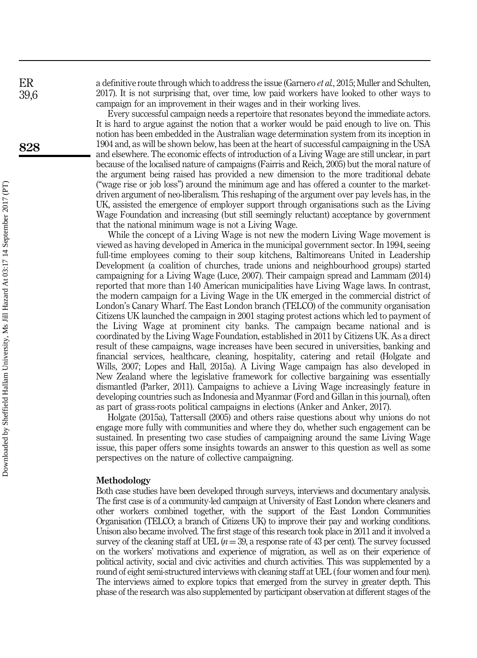a definitive route through which to address the issue (Garnero et al., 2015; Muller and Schulten, 2017). It is not surprising that, over time, low paid workers have looked to other ways to campaign for an improvement in their wages and in their working lives.

Every successful campaign needs a repertoire that resonates beyond the immediate actors. It is hard to argue against the notion that a worker would be paid enough to live on. This notion has been embedded in the Australian wage determination system from its inception in 1904 and, as will be shown below, has been at the heart of successful campaigning in the USA and elsewhere. The economic effects of introduction of a Living Wage are still unclear, in part because of the localised nature of campaigns (Fairris and Reich, 2005) but the moral nature of the argument being raised has provided a new dimension to the more traditional debate ("wage rise or job loss") around the minimum age and has offered a counter to the marketdriven argument of neo-liberalism. This reshaping of the argument over pay levels has, in the UK, assisted the emergence of employer support through organisations such as the Living Wage Foundation and increasing (but still seemingly reluctant) acceptance by government that the national minimum wage is not a Living Wage.

While the concept of a Living Wage is not new the modern Living Wage movement is viewed as having developed in America in the municipal government sector. In 1994, seeing full-time employees coming to their soup kitchens, Baltimoreans United in Leadership Development (a coalition of churches, trade unions and neighbourhood groups) started campaigning for a Living Wage (Luce, 2007). Their campaign spread and Lammam (2014) reported that more than 140 American municipalities have Living Wage laws. In contrast, the modern campaign for a Living Wage in the UK emerged in the commercial district of London's Canary Wharf. The East London branch (TELCO) of the community organisation Citizens UK launched the campaign in 2001 staging protest actions which led to payment of the Living Wage at prominent city banks. The campaign became national and is coordinated by the Living Wage Foundation, established in 2011 by Citizens UK. As a direct result of these campaigns, wage increases have been secured in universities, banking and financial services, healthcare, cleaning, hospitality, catering and retail (Holgate and Wills, 2007; Lopes and Hall, 2015a). A Living Wage campaign has also developed in New Zealand where the legislative framework for collective bargaining was essentially dismantled (Parker, 2011). Campaigns to achieve a Living Wage increasingly feature in developing countries such as Indonesia and Myanmar (Ford and Gillan in this journal), often as part of grass-roots political campaigns in elections (Anker and Anker, 2017).

Holgate (2015a), Tattersall (2005) and others raise questions about why unions do not engage more fully with communities and where they do, whether such engagement can be sustained. In presenting two case studies of campaigning around the same Living Wage issue, this paper offers some insights towards an answer to this question as well as some perspectives on the nature of collective campaigning.

#### Methodology

Both case studies have been developed through surveys, interviews and documentary analysis. The first case is of a community-led campaign at University of East London where cleaners and other workers combined together, with the support of the East London Communities Organisation (TELCO; a branch of Citizens UK) to improve their pay and working conditions. Unison also became involved. The first stage of this research took place in 2011 and it involved a survey of the cleaning staff at UEL  $(n=39, a$  response rate of 43 per cent). The survey focussed on the workers' motivations and experience of migration, as well as on their experience of political activity, social and civic activities and church activities. This was supplemented by a round of eight semi-structured interviews with cleaning staff at UEL ( four women and four men). The interviews aimed to explore topics that emerged from the survey in greater depth. This phase of the research was also supplemented by participant observation at different stages of the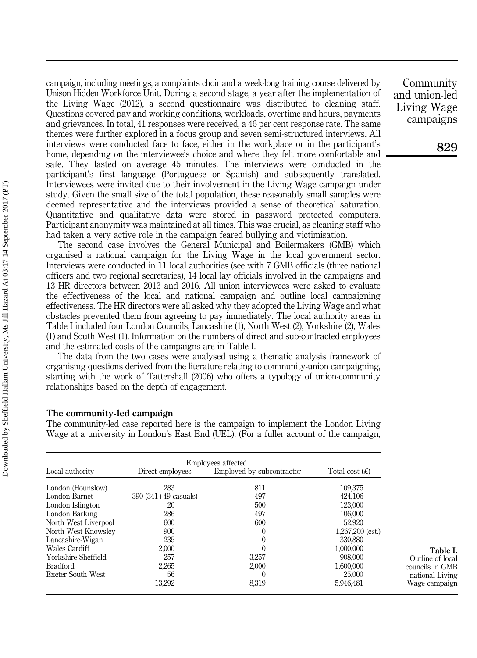campaign, including meetings, a complaints choir and a week-long training course delivered by Unison Hidden Workforce Unit. During a second stage, a year after the implementation of the Living Wage (2012), a second questionnaire was distributed to cleaning staff. Questions covered pay and working conditions, workloads, overtime and hours, payments and grievances. In total, 41 responses were received, a 46 per cent response rate. The same themes were further explored in a focus group and seven semi-structured interviews. All interviews were conducted face to face, either in the workplace or in the participant's home, depending on the interviewee's choice and where they felt more comfortable and safe. They lasted on average 45 minutes. The interviews were conducted in the participant's first language (Portuguese or Spanish) and subsequently translated. Interviewees were invited due to their involvement in the Living Wage campaign under study. Given the small size of the total population, these reasonably small samples were deemed representative and the interviews provided a sense of theoretical saturation. Quantitative and qualitative data were stored in password protected computers. Participant anonymity was maintained at all times. This was crucial, as cleaning staff who had taken a very active role in the campaign feared bullying and victimisation.

The second case involves the General Municipal and Boilermakers (GMB) which organised a national campaign for the Living Wage in the local government sector. Interviews were conducted in 11 local authorities (see with 7 GMB officials (three national officers and two regional secretaries), 14 local lay officials involved in the campaigns and 13 HR directors between 2013 and 2016. All union interviewees were asked to evaluate the effectiveness of the local and national campaign and outline local campaigning effectiveness. The HR directors were all asked why they adopted the Living Wage and what obstacles prevented them from agreeing to pay immediately. The local authority areas in Table I included four London Councils, Lancashire (1), North West (2), Yorkshire (2), Wales (1) and South West (1). Information on the numbers of direct and sub-contracted employees and the estimated costs of the campaigns are in Table I.

The data from the two cases were analysed using a thematic analysis framework of organising questions derived from the literature relating to community-union campaigning, starting with the work of Tattershall (2006) who offers a typology of union-community relationships based on the depth of engagement.

#### The community-led campaign

The community-led case reported here is the campaign to implement the London Living Wage at a university in London's East End (UEL). (For a fuller account of the campaign,

| Employees affected   |                               |                           |                    |  |  |  |
|----------------------|-------------------------------|---------------------------|--------------------|--|--|--|
| Local authority      | Direct employees              | Employed by subcontractor | Total cost $(E)$   |  |  |  |
| London (Hounslow)    | 283                           | 811                       | 109,375            |  |  |  |
| London Barnet        | $390(341+49 \text{ causals})$ | 497                       | 424.106            |  |  |  |
| London Islington     | 20                            | 500                       | 123,000            |  |  |  |
| London Barking       | 286                           | 497                       | 106,000            |  |  |  |
| North West Liverpool | 600                           | 600                       | 52.920             |  |  |  |
| North West Knowsley  | 900                           | 0                         | $1,267,200$ (est.) |  |  |  |
| Lancashire-Wigan     | 235                           | 0                         | 330,880            |  |  |  |
| Wales Cardiff        | 2.000                         | 0                         | 1,000,000          |  |  |  |
| Yorkshire Sheffield  | 257                           | 3,257                     | 908,000            |  |  |  |
| <b>Bradford</b>      | 2,265                         | 2,000                     | 1,600,000          |  |  |  |
| Exeter South West    | 56                            | $\left( \right)$          | 25,000             |  |  |  |
|                      | 13.292                        | 8,319                     | 5.946.481          |  |  |  |
|                      |                               |                           |                    |  |  |  |

Community and union-led Living Wage campaigns

Table I. Outline of local councils in GMB national Living Wage campaign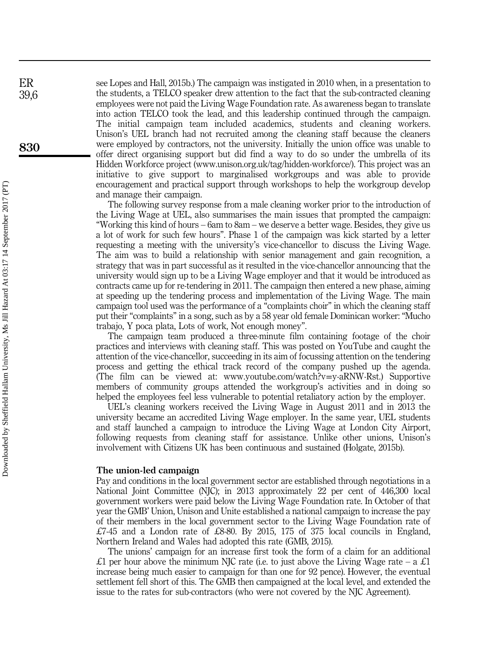see Lopes and Hall, 2015b.) The campaign was instigated in 2010 when, in a presentation to the students, a TELCO speaker drew attention to the fact that the sub-contracted cleaning employees were not paid the Living Wage Foundation rate. As awareness began to translate into action TELCO took the lead, and this leadership continued through the campaign. The initial campaign team included academics, students and cleaning workers. Unison's UEL branch had not recruited among the cleaning staff because the cleaners were employed by contractors, not the university. Initially the union office was unable to offer direct organising support but did find a way to do so under the umbrella of its Hidden Workforce project ([www.unison.org.uk/tag/hidden-workforce/\)](www.unison.org.uk/tag/hidden-workforce/). This project was an initiative to give support to marginalised workgroups and was able to provide encouragement and practical support through workshops to help the workgroup develop and manage their campaign.

The following survey response from a male cleaning worker prior to the introduction of the Living Wage at UEL, also summarises the main issues that prompted the campaign: "Working this kind of hours – 6am to 8am – we deserve a better wage. Besides, they give us a lot of work for such few hours". Phase 1 of the campaign was kick started by a letter requesting a meeting with the university's vice-chancellor to discuss the Living Wage. The aim was to build a relationship with senior management and gain recognition, a strategy that was in part successful as it resulted in the vice-chancellor announcing that the university would sign up to be a Living Wage employer and that it would be introduced as contracts came up for re-tendering in 2011. The campaign then entered a new phase, aiming at speeding up the tendering process and implementation of the Living Wage. The main campaign tool used was the performance of a "complaints choir" in which the cleaning staff put their "complaints" in a song, such as by a 58 year old female Dominican worker: "Mucho trabajo, Y poca plata, Lots of work, Not enough money".

The campaign team produced a three-minute film containing footage of the choir practices and interviews with cleaning staff. This was posted on YouTube and caught the attention of the vice-chancellor, succeeding in its aim of focussing attention on the tendering process and getting the ethical track record of the company pushed up the agenda. (The film can be viewed at: [www.youtube.com/watch?v](www.youtube.com/watch?v=y-aRNW-Rst)=y-aRNW-Rst.) Supportive members of community groups attended the workgroup's activities and in doing so helped the employees feel less vulnerable to potential retaliatory action by the employer.

UEL's cleaning workers received the Living Wage in August 2011 and in 2013 the university became an accredited Living Wage employer. In the same year, UEL students and staff launched a campaign to introduce the Living Wage at London City Airport, following requests from cleaning staff for assistance. Unlike other unions, Unison's involvement with Citizens UK has been continuous and sustained (Holgate, 2015b).

#### The union-led campaign

Pay and conditions in the local government sector are established through negotiations in a National Joint Committee (NJC); in 2013 approximately 22 per cent of 446,300 local government workers were paid below the Living Wage Foundation rate. In October of that year the GMB' Union, Unison and Unite established a national campaign to increase the pay of their members in the local government sector to the Living Wage Foundation rate of £7-45 and a London rate of £8-80. By 2015, 175 of 375 local councils in England, Northern Ireland and Wales had adopted this rate (GMB, 2015).

The unions' campaign for an increase first took the form of a claim for an additional £1 per hour above the minimum NJC rate (i.e. to just above the Living Wage rate – a £1 increase being much easier to campaign for than one for 92 pence). However, the eventual settlement fell short of this. The GMB then campaigned at the local level, and extended the issue to the rates for sub-contractors (who were not covered by the NJC Agreement).

830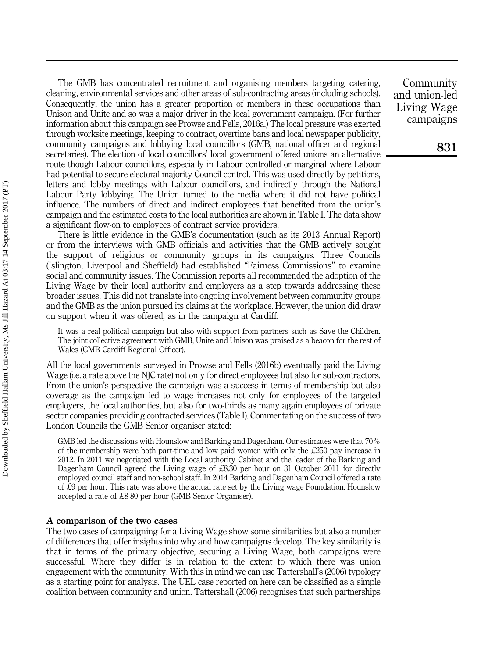The GMB has concentrated recruitment and organising members targeting catering, cleaning, environmental services and other areas of sub-contracting areas (including schools). Consequently, the union has a greater proportion of members in these occupations than Unison and Unite and so was a major driver in the local government campaign. (For further information about this campaign see Prowse and Fells, 2016a.) The local pressure was exerted through worksite meetings, keeping to contract, overtime bans and local newspaper publicity, community campaigns and lobbying local councillors (GMB, national officer and regional secretaries). The election of local councillors' local government offered unions an alternative route though Labour councillors, especially in Labour controlled or marginal where Labour had potential to secure electoral majority Council control. This was used directly by petitions, letters and lobby meetings with Labour councillors, and indirectly through the National Labour Party lobbying. The Union turned to the media where it did not have political influence. The numbers of direct and indirect employees that benefited from the union's campaign and the estimated costs to the local authorities are shown in Table I. The data show a significant flow-on to employees of contract service providers.

There is little evidence in the GMB's documentation (such as its 2013 Annual Report) or from the interviews with GMB officials and activities that the GMB actively sought the support of religious or community groups in its campaigns. Three Councils (Islington, Liverpool and Sheffield) had established "Fairness Commissions" to examine social and community issues. The Commission reports all recommended the adoption of the Living Wage by their local authority and employers as a step towards addressing these broader issues. This did not translate into ongoing involvement between community groups and the GMB as the union pursued its claims at the workplace. However, the union did draw on support when it was offered, as in the campaign at Cardiff:

It was a real political campaign but also with support from partners such as Save the Children. The joint collective agreement with GMB, Unite and Unison was praised as a beacon for the rest of Wales (GMB Cardiff Regional Officer).

All the local governments surveyed in Prowse and Fells (2016b) eventually paid the Living Wage (i.e. a rate above the NJC rate) not only for direct employees but also for sub-contractors. From the union's perspective the campaign was a success in terms of membership but also coverage as the campaign led to wage increases not only for employees of the targeted employers, the local authorities, but also for two-thirds as many again employees of private sector companies providing contracted services (Table I). Commentating on the success of two London Councils the GMB Senior organiser stated:

GMB led the discussions with Hounslow and Barking and Dagenham. Our estimates were that 70% of the membership were both part-time and low paid women with only the £250 pay increase in 2012. In 2011 we negotiated with the Local authority Cabinet and the leader of the Barking and Dagenham Council agreed the Living wage of £8.30 per hour on 31 October 2011 for directly employed council staff and non-school staff. In 2014 Barking and Dagenham Council offered a rate of  $\text{\pounds}9$  per hour. This rate was above the actual rate set by the Living wage Foundation. Hounslow accepted a rate of £8-80 per hour (GMB Senior Organiser).

#### A comparison of the two cases

The two cases of campaigning for a Living Wage show some similarities but also a number of differences that offer insights into why and how campaigns develop. The key similarity is that in terms of the primary objective, securing a Living Wage, both campaigns were successful. Where they differ is in relation to the extent to which there was union engagement with the community. With this in mind we can use Tattershall's (2006) typology as a starting point for analysis. The UEL case reported on here can be classified as a simple coalition between community and union. Tattershall (2006) recognises that such partnerships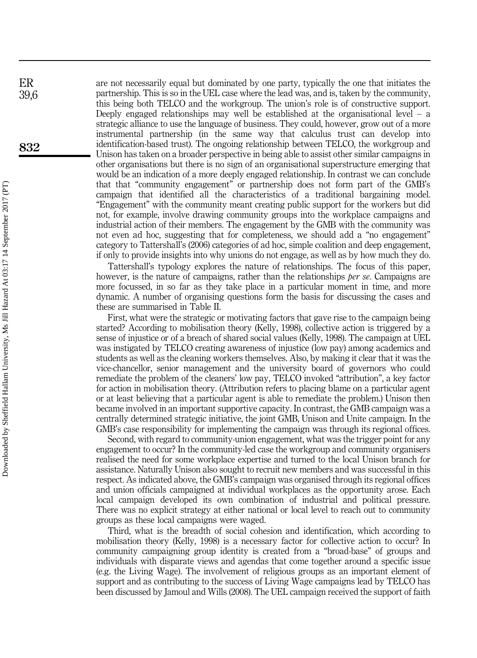are not necessarily equal but dominated by one party, typically the one that initiates the partnership. This is so in the UEL case where the lead was, and is, taken by the community, this being both TELCO and the workgroup. The union's role is of constructive support. Deeply engaged relationships may well be established at the organisational level – a strategic alliance to use the language of business. They could, however, grow out of a more instrumental partnership (in the same way that calculus trust can develop into identification-based trust). The ongoing relationship between TELCO, the workgroup and Unison has taken on a broader perspective in being able to assist other similar campaigns in other organisations but there is no sign of an organisational superstructure emerging that would be an indication of a more deeply engaged relationship. In contrast we can conclude that that "community engagement" or partnership does not form part of the GMB's campaign that identified all the characteristics of a traditional bargaining model. "Engagement" with the community meant creating public support for the workers but did not, for example, involve drawing community groups into the workplace campaigns and industrial action of their members. The engagement by the GMB with the community was not even ad hoc, suggesting that for completeness, we should add a "no engagement" category to Tattershall's (2006) categories of ad hoc, simple coalition and deep engagement, if only to provide insights into why unions do not engage, as well as by how much they do.

Tattershall's typology explores the nature of relationships. The focus of this paper, however, is the nature of campaigns, rather than the relationships *per se*. Campaigns are more focussed, in so far as they take place in a particular moment in time, and more dynamic. A number of organising questions form the basis for discussing the cases and these are summarised in Table II.

First, what were the strategic or motivating factors that gave rise to the campaign being started? According to mobilisation theory (Kelly, 1998), collective action is triggered by a sense of injustice or of a breach of shared social values (Kelly, 1998). The campaign at UEL was instigated by TELCO creating awareness of injustice (low pay) among academics and students as well as the cleaning workers themselves. Also, by making it clear that it was the vice-chancellor, senior management and the university board of governors who could remediate the problem of the cleaners' low pay, TELCO invoked "attribution", a key factor for action in mobilisation theory. (Attribution refers to placing blame on a particular agent or at least believing that a particular agent is able to remediate the problem.) Unison then became involved in an important supportive capacity. In contrast, the GMB campaign was a centrally determined strategic initiative, the joint GMB, Unison and Unite campaign. In the GMB's case responsibility for implementing the campaign was through its regional offices.

Second, with regard to community-union engagement, what was the trigger point for any engagement to occur? In the community-led case the workgroup and community organisers realised the need for some workplace expertise and turned to the local Unison branch for assistance. Naturally Unison also sought to recruit new members and was successful in this respect. As indicated above, the GMB's campaign was organised through its regional offices and union officials campaigned at individual workplaces as the opportunity arose. Each local campaign developed its own combination of industrial and political pressure. There was no explicit strategy at either national or local level to reach out to community groups as these local campaigns were waged.

Third, what is the breadth of social cohesion and identification, which according to mobilisation theory (Kelly, 1998) is a necessary factor for collective action to occur? In community campaigning group identity is created from a "broad-base" of groups and individuals with disparate views and agendas that come together around a specific issue (e.g. the Living Wage). The involvement of religious groups as an important element of support and as contributing to the success of Living Wage campaigns lead by TELCO has been discussed by Jamoul and Wills (2008). The UEL campaign received the support of faith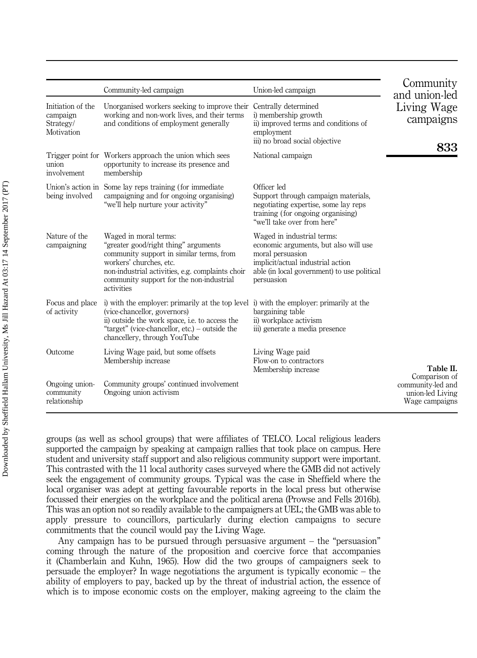|                                                                                                                                           | Community-led campaign                                                                                                                                                                                                                                      | Union-led campaign                                                                                                                                                                        | Community<br>and union-led                              |  |
|-------------------------------------------------------------------------------------------------------------------------------------------|-------------------------------------------------------------------------------------------------------------------------------------------------------------------------------------------------------------------------------------------------------------|-------------------------------------------------------------------------------------------------------------------------------------------------------------------------------------------|---------------------------------------------------------|--|
| Initiation of the<br>campaign<br>Strategy/<br>Motivation                                                                                  | Unorganised workers seeking to improve their<br>working and non-work lives, and their terms<br>and conditions of employment generally                                                                                                                       | Centrally determined<br>i) membership growth<br>ii) improved terms and conditions of<br>employment<br>iii) no broad social objective                                                      | Living Wage<br>campaigns                                |  |
| Trigger point for Workers approach the union which sees<br>opportunity to increase its presence and<br>union<br>involvement<br>membership |                                                                                                                                                                                                                                                             | National campaign                                                                                                                                                                         | 833                                                     |  |
| being involved                                                                                                                            | Union's action in Some lay reps training (for immediate<br>campaigning and for ongoing organising)<br>"we'll help nurture your activity"                                                                                                                    | Officer led<br>Support through campaign materials,<br>negotiating expertise, some lay reps<br>training (for ongoing organising)<br>"we'll take over from here"                            |                                                         |  |
| Nature of the<br>campaigning                                                                                                              | Waged in moral terms:<br>"greater good/right thing" arguments<br>community support in similar terms, from<br>workers' churches, etc.<br>non-industrial activities, e.g. complaints choir<br>community support for the non-industrial<br>activities          | Waged in industrial terms:<br>economic arguments, but also will use<br>moral persuasion<br>implicit/actual industrial action<br>able (in local government) to use political<br>persuasion |                                                         |  |
| Focus and place<br>of activity                                                                                                            | i) with the employer: primarily at the top level i) with the employer: primarily at the<br>(vice-chancellor, governors)<br>ii) outside the work space, i.e. to access the<br>"target" (vice-chancellor, etc.) – outside the<br>chancellery, through YouTube | bargaining table<br>ii) workplace activism<br>iii) generate a media presence                                                                                                              |                                                         |  |
| Outcome                                                                                                                                   | Living Wage paid, but some offsets<br>Membership increase                                                                                                                                                                                                   | Living Wage paid<br>Flow-on to contractors<br>Membership increase                                                                                                                         |                                                         |  |
| Ongoing union-<br>community<br>relationship                                                                                               | Community groups' continued involvement<br>Ongoing union activism                                                                                                                                                                                           |                                                                                                                                                                                           | community-led and<br>union-led Living<br>Wage campaigns |  |

groups (as well as school groups) that were affiliates of TELCO. Local religious leaders supported the campaign by speaking at campaign rallies that took place on campus. Here student and university staff support and also religious community support were important. This contrasted with the 11 local authority cases surveyed where the GMB did not actively seek the engagement of community groups. Typical was the case in Sheffield where the local organiser was adept at getting favourable reports in the local press but otherwise focussed their energies on the workplace and the political arena (Prowse and Fells 2016b). This was an option not so readily available to the campaigners at UEL; the GMB was able to apply pressure to councillors, particularly during election campaigns to secure commitments that the council would pay the Living Wage.

Any campaign has to be pursued through persuasive argument – the "persuasion" coming through the nature of the proposition and coercive force that accompanies it (Chamberlain and Kuhn, 1965). How did the two groups of campaigners seek to persuade the employer? In wage negotiations the argument is typically economic – the ability of employers to pay, backed up by the threat of industrial action, the essence of which is to impose economic costs on the employer, making agreeing to the claim the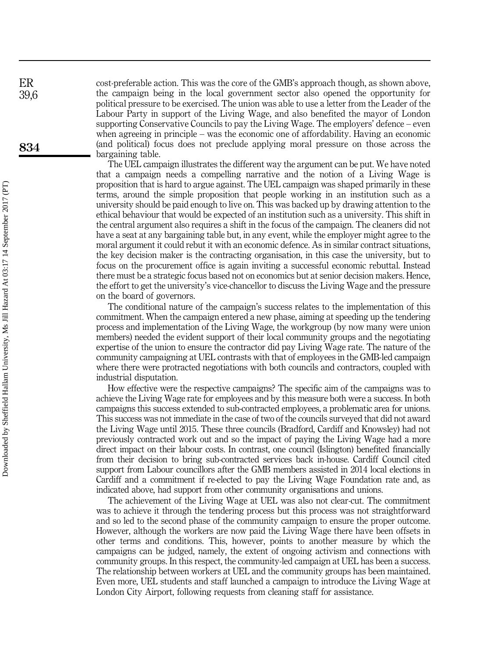cost-preferable action. This was the core of the GMB's approach though, as shown above, the campaign being in the local government sector also opened the opportunity for political pressure to be exercised. The union was able to use a letter from the Leader of the Labour Party in support of the Living Wage, and also benefited the mayor of London supporting Conservative Councils to pay the Living Wage. The employers' defence – even when agreeing in principle – was the economic one of affordability. Having an economic (and political) focus does not preclude applying moral pressure on those across the bargaining table.

The UEL campaign illustrates the different way the argument can be put. We have noted that a campaign needs a compelling narrative and the notion of a Living Wage is proposition that is hard to argue against. The UEL campaign was shaped primarily in these terms, around the simple proposition that people working in an institution such as a university should be paid enough to live on. This was backed up by drawing attention to the ethical behaviour that would be expected of an institution such as a university. This shift in the central argument also requires a shift in the focus of the campaign. The cleaners did not have a seat at any bargaining table but, in any event, while the employer might agree to the moral argument it could rebut it with an economic defence. As in similar contract situations, the key decision maker is the contracting organisation, in this case the university, but to focus on the procurement office is again inviting a successful economic rebuttal. Instead there must be a strategic focus based not on economics but at senior decision makers. Hence, the effort to get the university's vice-chancellor to discuss the Living Wage and the pressure on the board of governors.

The conditional nature of the campaign's success relates to the implementation of this commitment. When the campaign entered a new phase, aiming at speeding up the tendering process and implementation of the Living Wage, the workgroup (by now many were union members) needed the evident support of their local community groups and the negotiating expertise of the union to ensure the contractor did pay Living Wage rate. The nature of the community campaigning at UEL contrasts with that of employees in the GMB-led campaign where there were protracted negotiations with both councils and contractors, coupled with industrial disputation.

How effective were the respective campaigns? The specific aim of the campaigns was to achieve the Living Wage rate for employees and by this measure both were a success. In both campaigns this success extended to sub-contracted employees, a problematic area for unions. This success was not immediate in the case of two of the councils surveyed that did not award the Living Wage until 2015. These three councils (Bradford, Cardiff and Knowsley) had not previously contracted work out and so the impact of paying the Living Wage had a more direct impact on their labour costs. In contrast, one council (Islington) benefited financially from their decision to bring sub-contracted services back in-house. Cardiff Council cited support from Labour councillors after the GMB members assisted in 2014 local elections in Cardiff and a commitment if re-elected to pay the Living Wage Foundation rate and, as indicated above, had support from other community organisations and unions.

The achievement of the Living Wage at UEL was also not clear-cut. The commitment was to achieve it through the tendering process but this process was not straightforward and so led to the second phase of the community campaign to ensure the proper outcome. However, although the workers are now paid the Living Wage there have been offsets in other terms and conditions. This, however, points to another measure by which the campaigns can be judged, namely, the extent of ongoing activism and connections with community groups. In this respect, the community-led campaign at UEL has been a success. The relationship between workers at UEL and the community groups has been maintained. Even more, UEL students and staff launched a campaign to introduce the Living Wage at London City Airport, following requests from cleaning staff for assistance.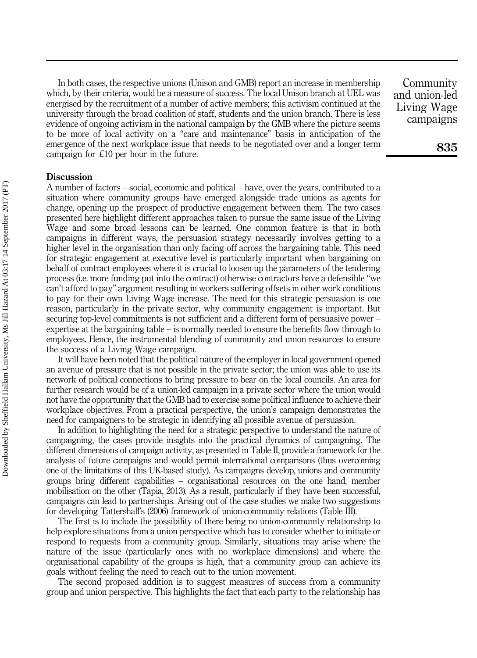In both cases, the respective unions (Unison and GMB) report an increase in membership which, by their criteria, would be a measure of success. The local Unison branch at UEL was energised by the recruitment of a number of active members; this activism continued at the university through the broad coalition of staff, students and the union branch. There is less evidence of ongoing activism in the national campaign by the GMB where the picture seems to be more of local activity on a "care and maintenance" basis in anticipation of the emergence of the next workplace issue that needs to be negotiated over and a longer term campaign for  $\pounds 10$  per hour in the future.

#### Discussion

A number of factors – social, economic and political – have, over the years, contributed to a situation where community groups have emerged alongside trade unions as agents for change, opening up the prospect of productive engagement between them. The two cases presented here highlight different approaches taken to pursue the same issue of the Living Wage and some broad lessons can be learned. One common feature is that in both campaigns in different ways, the persuasion strategy necessarily involves getting to a higher level in the organisation than only facing off across the bargaining table. This need for strategic engagement at executive level is particularly important when bargaining on behalf of contract employees where it is crucial to loosen up the parameters of the tendering process (i.e. more funding put into the contract) otherwise contractors have a defensible "we can't afford to pay" argument resulting in workers suffering offsets in other work conditions to pay for their own Living Wage increase. The need for this strategic persuasion is one reason, particularly in the private sector, why community engagement is important. But securing top-level commitments is not sufficient and a different form of persuasive power – expertise at the bargaining table – is normally needed to ensure the benefits flow through to employees. Hence, the instrumental blending of community and union resources to ensure the success of a Living Wage campaign.

It will have been noted that the political nature of the employer in local government opened an avenue of pressure that is not possible in the private sector; the union was able to use its network of political connections to bring pressure to bear on the local councils. An area for further research would be of a union-led campaign in a private sector where the union would not have the opportunity that the GMB had to exercise some political influence to achieve their workplace objectives. From a practical perspective, the union's campaign demonstrates the need for campaigners to be strategic in identifying all possible avenue of persuasion.

In addition to highlighting the need for a strategic perspective to understand the nature of campaigning, the cases provide insights into the practical dynamics of campaigning. The different dimensions of campaign activity, as presented in Table II, provide a framework for the analysis of future campaigns and would permit international comparisons (thus overcoming one of the limitations of this UK-based study). As campaigns develop, unions and community groups bring different capabilities – organisational resources on the one hand, member mobilisation on the other (Tapia, 2013). As a result, particularly if they have been successful, campaigns can lead to partnerships. Arising out of the case studies we make two suggestions for developing Tattershall's (2006) framework of union-community relations (Table III).

The first is to include the possibility of there being no union-community relationship to help explore situations from a union perspective which has to consider whether to initiate or respond to requests from a community group. Similarly, situations may arise where the nature of the issue (particularly ones with no workplace dimensions) and where the organisational capability of the groups is high, that a community group can achieve its goals without feeling the need to reach out to the union movement.

The second proposed addition is to suggest measures of success from a community group and union perspective. This highlights the fact that each party to the relationship has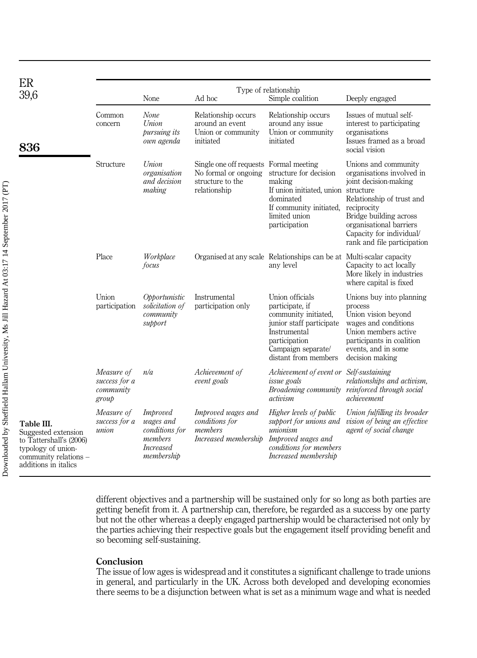| ER<br>39,6                                                                                                                          |                                                   | None                                                                                        | Ad hoc                                                                                             | Type of relationship<br>Simple coalition                                                                                                                              | Deeply engaged                                                                                                                                                                                                          |
|-------------------------------------------------------------------------------------------------------------------------------------|---------------------------------------------------|---------------------------------------------------------------------------------------------|----------------------------------------------------------------------------------------------------|-----------------------------------------------------------------------------------------------------------------------------------------------------------------------|-------------------------------------------------------------------------------------------------------------------------------------------------------------------------------------------------------------------------|
| 836                                                                                                                                 | Common<br>concern                                 | None<br><i>Union</i><br>pursuing its<br>own agenda                                          | Relationship occurs<br>around an event<br>Union or community<br>initiated                          | Relationship occurs<br>around any issue<br>Union or community<br>initiated                                                                                            | Issues of mutual self-<br>interest to participating<br>organisations<br>Issues framed as a broad<br>social vision                                                                                                       |
|                                                                                                                                     | Structure                                         | Union<br>organisation<br>and decision<br>making                                             | Single one off requests Formal meeting<br>No formal or ongoing<br>structure to the<br>relationship | structure for decision<br>making<br>If union initiated, union structure<br>dominated<br>If community initiated, reciprocity<br>limited union<br>participation         | Unions and community<br>organisations involved in<br>joint decision-making<br>Relationship of trust and<br>Bridge building across<br>organisational barriers<br>Capacity for individual/<br>rank and file participation |
|                                                                                                                                     | Place                                             | Workplace<br>focus                                                                          |                                                                                                    | Organised at any scale Relationships can be at Multi-scalar capacity<br>any level                                                                                     | Capacity to act locally<br>More likely in industries<br>where capital is fixed                                                                                                                                          |
|                                                                                                                                     | Union<br>participation                            | Opportunistic<br>solicitation of<br>community<br>support                                    | Instrumental<br>participation only                                                                 | Union officials<br>participate, if<br>community initiated,<br>junior staff participate<br>Instrumental<br>participation<br>Campaign separate/<br>distant from members | Unions buy into planning<br>process<br>Union vision beyond<br>wages and conditions<br>Union members active<br>participants in coalition<br>events, and in some<br>decision making                                       |
|                                                                                                                                     | Measure of<br>success for a<br>community<br>group | n/a                                                                                         | Achievement of<br>event goals                                                                      | Achievement of event or Self-sustaining<br><i>issue goals</i><br>activism                                                                                             | relationships and activism,<br>Broadening community reinforced through social<br>achievement                                                                                                                            |
| Table III.<br>Suggested extension<br>to Tattershall's (2006)<br>typology of union-<br>community relations -<br>additions in italics | Measure of<br>success for a<br>union              | <i>Improved</i><br>wages and<br>conditions for<br>members<br><i>Increased</i><br>membership | Improved wages and<br>conditions for<br>members<br>Increased membership                            | Higher levels of public<br>support for unions and<br>unionism<br>Improved wages and<br>conditions for members<br>Increased membership                                 | Union fulfilling its broader<br>vision of being an effective<br>agent of social change                                                                                                                                  |

different objectives and a partnership will be sustained only for so long as both parties are getting benefit from it. A partnership can, therefore, be regarded as a success by one party but not the other whereas a deeply engaged partnership would be characterised not only by the parties achieving their respective goals but the engagement itself providing benefit and so becoming self-sustaining.

#### Conclusion

The issue of low ages is widespread and it constitutes a significant challenge to trade unions in general, and particularly in the UK. Across both developed and developing economies there seems to be a disjunction between what is set as a minimum wage and what is needed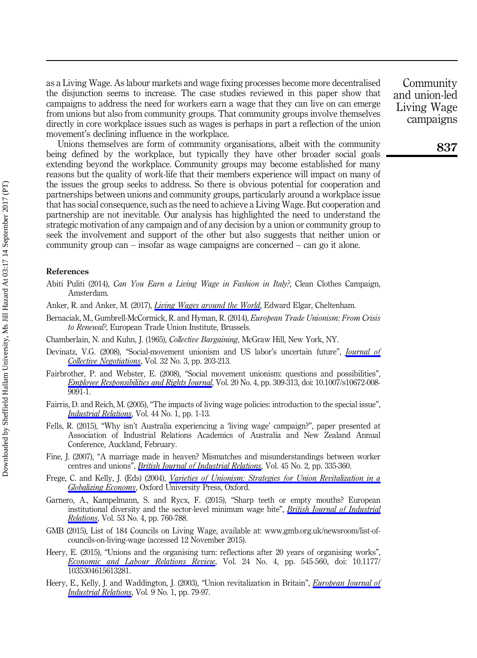as a Living Wage. As labour markets and wage fixing processes become more decentralised the disjunction seems to increase. The case studies reviewed in this paper show that campaigns to address the need for workers earn a wage that they can live on can emerge from unions but also from community groups. That community groups involve themselves directly in core workplace issues such as wages is perhaps in part a reflection of the union movement's declining influence in the workplace.

Unions themselves are form of community organisations, albeit with the community being defined by the workplace, but typically they have other broader social goals extending beyond the workplace. Community groups may become established for many reasons but the quality of work-life that their members experience will impact on many of the issues the group seeks to address. So there is obvious potential for cooperation and partnerships between unions and community groups, particularly around a workplace issue that has social consequence, such as the need to achieve a Living Wage. But cooperation and partnership are not inevitable. Our analysis has highlighted the need to understand the strategic motivation of any campaign and of any decision by a union or community group to seek the involvement and support of the other but also suggests that neither union or community group can – insofar as wage campaigns are concerned – can go it alone.

#### References

- Abiti Puliti (2014), Can You Earn a Living Wage in Fashion in Italy?, Clean Clothes Campaign, Amsterdam.
- Anker, R. and Anker, M. (2017), *[Living Wages around the World](http://www.emeraldinsight.com/action/showLinks?doi=10.1108%2FER-03-2017-0053&crossref=10.4337%2F9781786431462&citationId=p_2)*, Edward Elgar, Cheltenham.
- Bernaciak, M., Gumbrell-McCormick, R. and Hyman, R. (2014), European Trade Unionism: From Crisis to Renewal?, European Trade Union Institute, Brussels.
- Chamberlain, N. and Kuhn, J. (1965), *Collective Bargaining*, McGraw Hill, New York, NY.
- Devinatz, V.G. (2008), "Social-movement unionism and US labor's uncertain future", *[Journal of](http://www.emeraldinsight.com/action/showLinks?doi=10.1108%2FER-03-2017-0053&crossref=10.2190%2FCN.32.3.c&citationId=p_5)* [Collective Negotiations](http://www.emeraldinsight.com/action/showLinks?doi=10.1108%2FER-03-2017-0053&crossref=10.2190%2FCN.32.3.c&citationId=p_5), Vol. 32 No. 3, pp. 203-213.
- Fairbrother, P. and Webster, E. (2008), "Social movement unionism: questions and possibilities", [Employee Responsibilities and Rights Journal](http://www.emeraldinsight.com/action/showLinks?doi=10.1108%2FER-03-2017-0053&crossref=10.1007%2Fs10672-008-9091-1&citationId=p_6), Vol. 20 No. 4, pp. 309-313, doi: 10.1007/s10672-008-9091-1.
- Fairris, D. and Reich, M. (2005), "The impacts of living wage policies: introduction to the special issue", *[Industrial Relations](http://www.emeraldinsight.com/action/showLinks?doi=10.1108%2FER-03-2017-0053&isi=000225952500001&citationId=p_7)*, Vol. 44 No. 1, pp. 1-13.
- Fells, R. (2015), "Why isn't Australia experiencing a 'living wage' campaign?", paper presented at Association of Industrial Relations Academics of Australia and New Zealand Annual Conference, Auckland, February.
- Fine, J. (2007), "A marriage made in heaven? Mismatches and misunderstandings between worker centres and unions", *[British Journal of Industrial Relations](http://www.emeraldinsight.com/action/showLinks?doi=10.1108%2FER-03-2017-0053&crossref=10.1111%2Fj.1467-8543.2007.00617.x&isi=000247241000006&citationId=p_9)*, Vol. 45 No. 2, pp. 335-360.
- Frege, C. and Kelly, J. (Eds) (2004), [Varieties of Unionism: Strategies for Union Revitalization in a](http://www.emeraldinsight.com/action/showLinks?doi=10.1108%2FER-03-2017-0053&crossref=10.1093%2Facprof%3Aoso%2F9780199270149.001.0001&citationId=p_10) [Globalizing Economy](http://www.emeraldinsight.com/action/showLinks?doi=10.1108%2FER-03-2017-0053&crossref=10.1093%2Facprof%3Aoso%2F9780199270149.001.0001&citationId=p_10), Oxford University Press, Oxford.
- Garnero, A., Kampelmann, S. and Rycx, F. (2015), "Sharp teeth or empty mouths? European institutional diversity and the sector-level minimum wage bite", *[British Journal of Industrial](http://www.emeraldinsight.com/action/showLinks?doi=10.1108%2FER-03-2017-0053&crossref=10.1111%2Fbjir.12104&isi=000364913200006&citationId=p_11) [Relations](http://www.emeraldinsight.com/action/showLinks?doi=10.1108%2FER-03-2017-0053&crossref=10.1111%2Fbjir.12104&isi=000364913200006&citationId=p_11)*, Vol. 53 No. 4, pp. 760-788.
- GMB (2015), List of 184 Councils on Living Wage, available at: [www.gmb.org.uk/newsroom/list-of](www.gmb.org.uk/newsroom/list-of-councils-on-living-wage)[councils-on-living-wage](www.gmb.org.uk/newsroom/list-of-councils-on-living-wage) (accessed 12 November 2015).
- Heery, E. (2015), "Unions and the organising turn: reflections after 20 years of organising works", [Economic and Labour Relations Review](http://www.emeraldinsight.com/action/showLinks?doi=10.1108%2FER-03-2017-0053&crossref=10.1177%2F1035304615613281&citationId=p_13), Vol. 24 No. 4, pp. 545-560, doi: 10.1177/ 1035304615613281.
- Heery, E., Kelly, J. and Waddington, J. (2003), "Union revitalization in Britain", *[European Journal of](http://www.emeraldinsight.com/action/showLinks?doi=10.1108%2FER-03-2017-0053&crossref=10.1177%2F0959680103009001452&isi=000181385100006&citationId=p_14) [Industrial Relations](http://www.emeraldinsight.com/action/showLinks?doi=10.1108%2FER-03-2017-0053&crossref=10.1177%2F0959680103009001452&isi=000181385100006&citationId=p_14)*, Vol. 9 No. 1, pp. 79-97.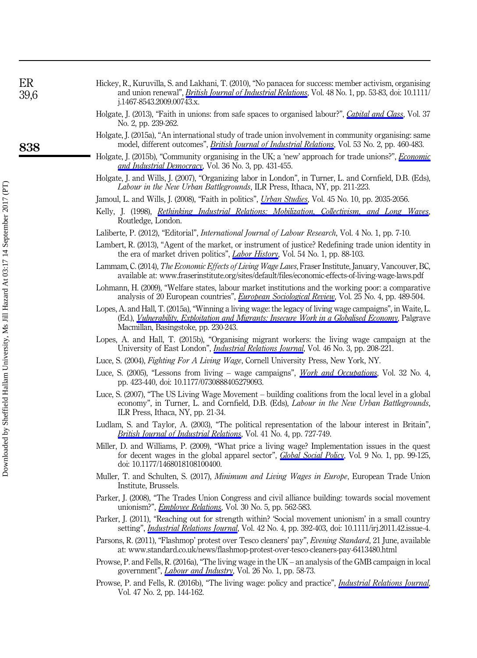| Hickey, R., Kuruvilla, S. and Lakhani, T. (2010), "No panacea for success: member activism, organising       |
|--------------------------------------------------------------------------------------------------------------|
| and union renewal", <i>British Journal of Industrial Relations</i> , Vol. 48 No. 1, pp. 53-83, doi: 10.1111/ |
| i.1467-8543.2009.00743.x.                                                                                    |

- Holgate, J. (2013), "Faith in unions: from safe spaces to organised labour?", [Capital and Class](http://www.emeraldinsight.com/action/showLinks?doi=10.1108%2FER-03-2017-0053&crossref=10.1177%2F0309816813484567&citationId=p_16), Vol. 37 No. 2, pp. 239-262.
- Holgate, J. (2015a), "An international study of trade union involvement in community organising: same model, different outcomes", *[British Journal of Industrial Relations](http://www.emeraldinsight.com/action/showLinks?doi=10.1108%2FER-03-2017-0053&crossref=10.1111%2Fbjir.12098&citationId=p_17)*, Vol. 53 No. 2, pp. 460-483.
- Holgate, J. (2015b), "Community organising in the UK; a 'new' approach for trade unions?", *[Economic](http://www.emeraldinsight.com/action/showLinks?doi=10.1108%2FER-03-2017-0053&crossref=10.1177%2F0143831X13511275&isi=000358733200004&citationId=p_18)* [and Industrial Democracy](http://www.emeraldinsight.com/action/showLinks?doi=10.1108%2FER-03-2017-0053&crossref=10.1177%2F0143831X13511275&isi=000358733200004&citationId=p_18), Vol. 36 No. 3, pp. 431-455.
- Holgate, J. and Wills, J. (2007), "Organizing labor in London", in Turner, L. and Cornfield, D.B. (Eds), Labour in the New Urban Battlegrounds, ILR Press, Ithaca, NY, pp. 211-223.
- Jamoul, L. and Wills, J. (2008), "Faith in politics", *[Urban Studies](http://www.emeraldinsight.com/action/showLinks?doi=10.1108%2FER-03-2017-0053&crossref=10.1177%2F0042098008094872&isi=000258396400003&citationId=p_20)*, Vol. 45 No. 10, pp. 2035-2056.
- Kelly, J. (1998), [Rethinking Industrial Relations: Mobilization, Collectivism, and Long Waves](http://www.emeraldinsight.com/action/showLinks?doi=10.1108%2FER-03-2017-0053&crossref=10.4324%2F9780203213940&citationId=p_21), Routledge, London.
- Laliberte, P. (2012), "Editorial", International Journal of Labour Research, Vol. 4 No. 1, pp. 7-10.
- Lambert, R. (2013), "Agent of the market, or instrument of justice? Redefining trade union identity in the era of market driven politics", *[Labor History](http://www.emeraldinsight.com/action/showLinks?doi=10.1108%2FER-03-2017-0053&crossref=10.1080%2F0023656X.2012.759807&isi=000316450100005&citationId=p_23)*, Vol. 54 No. 1, pp. 88-103.
- Lammam, C. (2014), The Economic Effects of Living Wage Laws, Fraser Institute, January, Vancouver, BC, available at:<www.fraserinstitute.org/sites/default/files/economic-effects-of-living-wage-laws.pdf>
- Lohmann, H. (2009), "Welfare states, labour market institutions and the working poor: a comparative analysis of 20 European countries", *[European Sociological Review](http://www.emeraldinsight.com/action/showLinks?doi=10.1108%2FER-03-2017-0053&crossref=10.1093%2Fesr%2Fjcn064&isi=000268109700007&citationId=p_25)*, Vol. 25 No. 4, pp. 489-504.
- Lopes, A. and Hall, T. (2015a), "Winning a living wage: the legacy of living wage campaigns", in Waite, L. (Ed.), *[Vulnerability, Exploitation and Migrants: Insecure Work in a Globalised Economy](http://www.emeraldinsight.com/action/showLinks?doi=10.1108%2FER-03-2017-0053&crossref=10.1057%2F9781137460417_17&citationId=p_26)*, Palgrave Macmillan, Basingstoke, pp. 230-243.
- Lopes, A. and Hall, T. (2015b), "Organising migrant workers: the living wage campaign at the University of East London", *[Industrial Relations Journal](http://www.emeraldinsight.com/action/showLinks?doi=10.1108%2FER-03-2017-0053&crossref=10.1111%2Firj.12099&isi=000212919500003&citationId=p_27)*, Vol. 46 No. 3, pp. 208-221.
- Luce, S. (2004), Fighting For A Living Wage, Cornell University Press, New York, NY.
- Luce, S. (2005), "Lessons from living wage campaigns", *[Work and Occupations](http://www.emeraldinsight.com/action/showLinks?doi=10.1108%2FER-03-2017-0053&crossref=10.1177%2F0730888405279093&isi=000232661800003&citationId=p_29)*, Vol. 32 No. 4, pp. 423-440, doi: 10.1177/0730888405279093.
- Luce, S. (2007), "The US Living Wage Movement building coalitions from the local level in a global economy", in Turner, L. and Cornfield, D.B. (Eds), Labour in the New Urban Battlegrounds, ILR Press, Ithaca, NY, pp. 21-34.
- Ludlam, S. and Taylor, A. (2003), "The political representation of the labour interest in Britain", [British Journal of Industrial Relations](http://www.emeraldinsight.com/action/showLinks?doi=10.1108%2FER-03-2017-0053&crossref=10.1046%2Fj.1467-8543.2003.00296.x&isi=000187107200007&citationId=p_31), Vol. 41 No. 4, pp. 727-749.
- Miller, D. and Williams, P. (2009), "What price a living wage? Implementation issues in the quest for decent wages in the global apparel sector", [Global Social Policy](http://www.emeraldinsight.com/action/showLinks?doi=10.1108%2FER-03-2017-0053&crossref=10.1177%2F1468018108100400&citationId=p_32), Vol. 9 No. 1, pp. 99-125, doi: 10.1177/1468018108100400.
- Muller, T. and Schulten, S. (2017), *Minimum and Living Wages in Europe*, European Trade Union Institute, Brussels.
- Parker, J. (2008), "The Trades Union Congress and civil alliance building: towards social movement unionism?", *[Employee Relations](http://www.emeraldinsight.com/action/showLinks?doi=10.1108%2FER-03-2017-0053&system=10.1108%2F01425450810888312&citationId=p_34)*, Vol. 30 No. 5, pp. 562-583.
- Parker, J. (2011), "Reaching out for strength within? 'Social movement unionism' in a small country setting", *[Industrial Relations Journal](http://www.emeraldinsight.com/action/showLinks?doi=10.1108%2FER-03-2017-0053&crossref=10.1111%2Fj.1468-2338.2011.00633.x&citationId=p_35)*, Vol. 42 No. 4, pp. 392-403, doi: 10.1111/irj.2011.42.issue-4.
- Parsons, R. (2011), "Flashmop' protest over Tesco cleaners' pay", Evening Standard, 21 June, available at:<www.standard.co.uk/news/flashmop-protest-over-tesco-cleaners-pay-6413480.html>
- Prowse, P. and Fells, R. (2016a), "The living wage in the UK an analysis of the GMB campaign in local government", *[Labour and Industry](http://www.emeraldinsight.com/action/showLinks?doi=10.1108%2FER-03-2017-0053&crossref=10.1080%2F10301763.2016.1146529&isi=000377037500005&citationId=p_37)*, Vol. 26 No. 1, pp. 58-73.
- Prowse, P. and Fells, R. (2016b), "The living wage: policy and practice", *[Industrial Relations Journal](http://www.emeraldinsight.com/action/showLinks?doi=10.1108%2FER-03-2017-0053&crossref=10.1111%2Firj.12132&isi=000375481800003&citationId=p_38)*, Vol. 47 No. 2, pp. 144-162.

ER 39,6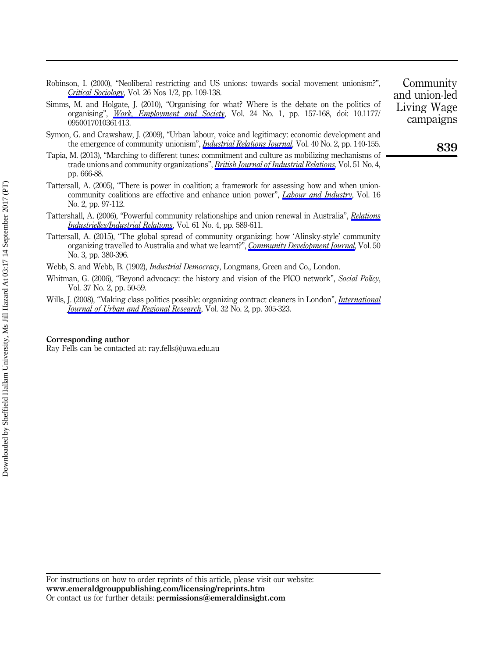- Robinson, I. (2000), "Neoliberal restricting and US unions: towards social movement unionism?", [Critical Sociology](http://www.emeraldinsight.com/action/showLinks?doi=10.1108%2FER-03-2017-0053&crossref=10.1177%2F08969205000260010701&citationId=p_39), Vol. 26 Nos 1/2, pp. 109-138.
- Simms, M. and Holgate, J. (2010), "Organising for what? Where is the debate on the politics of organising", [Work, Employment and Society](http://www.emeraldinsight.com/action/showLinks?doi=10.1108%2FER-03-2017-0053&crossref=10.1177%2F0950017010361413&isi=000276164900010&citationId=p_40), Vol. 24 No. 1, pp. 157-168, doi: 10.1177/ 0950017010361413.
- Symon, G. and Crawshaw, J. (2009), "Urban labour, voice and legitimacy: economic development and the emergence of community unionism", *[Industrial Relations Journal](http://www.emeraldinsight.com/action/showLinks?doi=10.1108%2FER-03-2017-0053&crossref=10.1111%2Fj.1468-2338.2008.00517.x&citationId=p_41)*, Vol. 40 No. 2, pp. 140-155.
- Tapia, M. (2013), "Marching to different tunes: commitment and culture as mobilizing mechanisms of trade unions and community organizations", *[British Journal of Industrial Relations](http://www.emeraldinsight.com/action/showLinks?doi=10.1108%2FER-03-2017-0053&crossref=10.1111%2Fj.1467-8543.2012.00893.x&isi=000330127000002&citationId=p_42)*, Vol. 51 No. 4, pp. 666-88.
- Tattersall, A. (2005), "There is power in coalition; a framework for assessing how and when unioncommunity coalitions are effective and enhance union power", *[Labour and Industry](http://www.emeraldinsight.com/action/showLinks?doi=10.1108%2FER-03-2017-0053&crossref=10.1080%2F10301763.2005.10669325&citationId=p_43)*, Vol. 16 No. 2, pp. 97-112.
- Tattershall, A. (2006), "Powerful community relationships and union renewal in Australia", [Relations](http://www.emeraldinsight.com/action/showLinks?doi=10.1108%2FER-03-2017-0053&crossref=10.7202%2F014762ar&isi=000253097800002&citationId=p_44) [Industrielles/Industrial Relations](http://www.emeraldinsight.com/action/showLinks?doi=10.1108%2FER-03-2017-0053&crossref=10.7202%2F014762ar&isi=000253097800002&citationId=p_44), Vol. 61 No. 4, pp. 589-611.
- Tattersall, A. (2015), "The global spread of community organizing: how 'Alinsky-style' community organizing travelled to Australia and what we learnt?", [Community Development Journal](http://www.emeraldinsight.com/action/showLinks?doi=10.1108%2FER-03-2017-0053&crossref=10.1093%2Fcdj%2Fbsv018&isi=000357432500004&citationId=p_45), Vol. 50 No. 3, pp. 380-396.
- Webb, S. and Webb, B. (1902), *Industrial Democracy*, Longmans, Green and Co., London.
- Whitman, G. (2006), "Beyond advocacy: the history and vision of the PICO network", Social Policy, Vol. 37 No. 2, pp. 50-59.
- Wills, J. (2008), "Making class politics possible: organizing contract cleaners in London", *[International](http://www.emeraldinsight.com/action/showLinks?doi=10.1108%2FER-03-2017-0053&crossref=10.1111%2Fj.1468-2427.2008.00783.x&isi=000256617000003&citationId=p_48)* [Journal of Urban and Regional Research](http://www.emeraldinsight.com/action/showLinks?doi=10.1108%2FER-03-2017-0053&crossref=10.1111%2Fj.1468-2427.2008.00783.x&isi=000256617000003&citationId=p_48), Vol. 32 No. 2, pp. 305-323.

#### Corresponding author

Ray Fells can be contacted at: ray.fells@uwa.edu.au

For instructions on how to order reprints of this article, please visit our website: www.emeraldgrouppublishing.com/licensing/reprints.htm Or contact us for further details: permissions@emeraldinsight.com